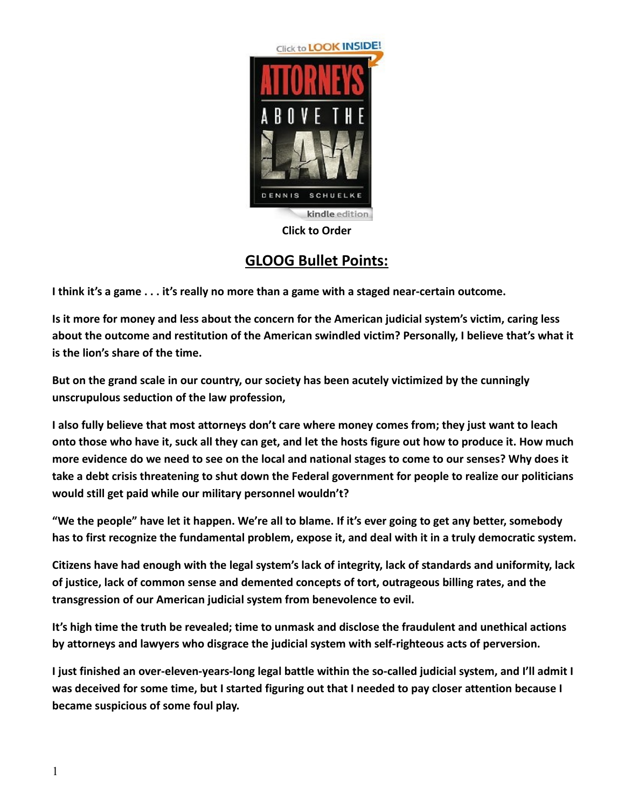

**Click to Order**

## **GLOOG Bullet Points:**

**I think it's a game . . . it's really no more than a game with a staged near-certain outcome.**

**Is it more for money and less about the concern for the American judicial system's victim, caring less about the outcome and restitution of the American swindled victim? Personally, I believe that's what it is the lion's share of the time.**

**But on the grand scale in our country, our society has been acutely victimized by the cunningly unscrupulous seduction of the law profession,**

**I also fully believe that most attorneys don't care where money comes from; they just want to leach onto those who have it, suck all they can get, and let the hosts figure out how to produce it. How much more evidence do we need to see on the local and national stages to come to our senses? Why does it take a debt crisis threatening to shut down the Federal government for people to realize our politicians would still get paid while our military personnel wouldn't?**

**"We the people" have let it happen. We're all to blame. If it's ever going to get any better, somebody has to first recognize the fundamental problem, expose it, and deal with it in a truly democratic system.**

**Citizens have had enough with the legal system's lack of integrity, lack of standards and uniformity, lack of justice, lack of common sense and demented concepts of tort, outrageous billing rates, and the transgression of our American judicial system from benevolence to evil.**

**It's high time the truth be revealed; time to unmask and disclose the fraudulent and unethical actions by attorneys and lawyers who disgrace the judicial system with self-righteous acts of perversion.**

**I just finished an over-eleven-years-long legal battle within the so-called judicial system, and I'll admit I was deceived for some time, but I started figuring out that I needed to pay closer attention because I became suspicious of some foul play.**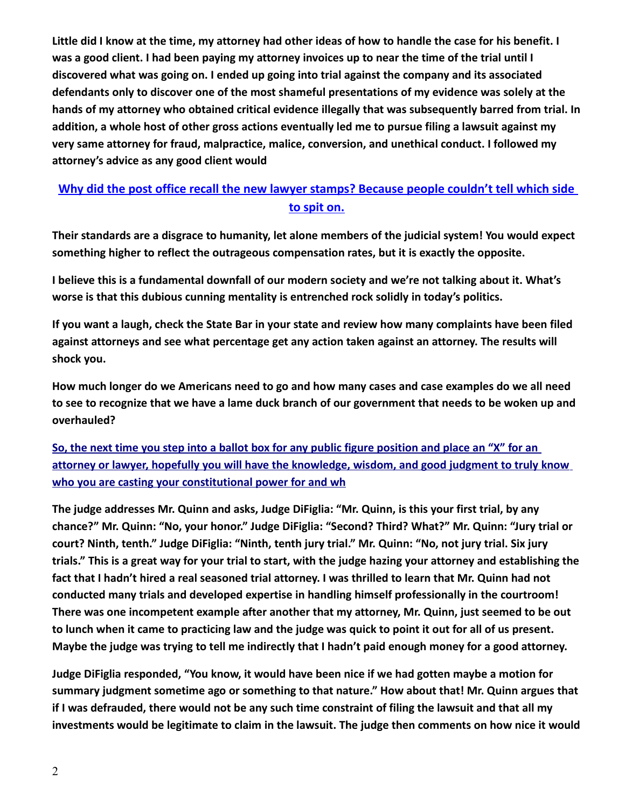**Little did I know at the time, my attorney had other ideas of how to handle the case for his benefit. I was a good client. I had been paying my attorney invoices up to near the time of the trial until I discovered what was going on. I ended up going into trial against the company and its associated defendants only to discover one of the most shameful presentations of my evidence was solely at the hands of my attorney who obtained critical evidence illegally that was subsequently barred from trial. In addition, a whole host of other gross actions eventually led me to pursue filing a lawsuit against my very same attorney for fraud, malpractice, malice, conversion, and unethical conduct. I followed my attorney's advice as any good client would**

# **Why did the post office recall the new lawyer stamps? Because people couldn't tell which side to spit on.**

**Their standards are a disgrace to humanity, let alone members of the judicial system! You would expect something higher to reflect the outrageous compensation rates, but it is exactly the opposite.**

**I believe this is a fundamental downfall of our modern society and we're not talking about it. What's worse is that this dubious cunning mentality is entrenched rock solidly in today's politics.**

**If you want a laugh, check the State Bar in your state and review how many complaints have been filed against attorneys and see what percentage get any action taken against an attorney. The results will shock you.**

**How much longer do we Americans need to go and how many cases and case examples do we all need to see to recognize that we have a lame duck branch of our government that needs to be woken up and overhauled?**

**[So, the next time you step into a ballot box for any public figure position and place an "X" for an](http://www.gloog.us/) [attorney or lawyer, hopefully you will have the knowledge, wisdom, and good judgment to truly know](http://www.gloog.us/) [who you are casting your constitutional power for and wh](http://www.gloog.us/)**

**The judge addresses Mr. Quinn and asks, Judge DiFiglia: "Mr. Quinn, is this your first trial, by any chance?" Mr. Quinn: "No, your honor." Judge DiFiglia: "Second? Third? What?" Mr. Quinn: "Jury trial or court? Ninth, tenth." Judge DiFiglia: "Ninth, tenth jury trial." Mr. Quinn: "No, not jury trial. Six jury trials." This is a great way for your trial to start, with the judge hazing your attorney and establishing the fact that I hadn't hired a real seasoned trial attorney. I was thrilled to learn that Mr. Quinn had not conducted many trials and developed expertise in handling himself professionally in the courtroom! There was one incompetent example after another that my attorney, Mr. Quinn, just seemed to be out to lunch when it came to practicing law and the judge was quick to point it out for all of us present. Maybe the judge was trying to tell me indirectly that I hadn't paid enough money for a good attorney.**

**Judge DiFiglia responded, "You know, it would have been nice if we had gotten maybe a motion for summary judgment sometime ago or something to that nature." How about that! Mr. Quinn argues that if I was defrauded, there would not be any such time constraint of filing the lawsuit and that all my investments would be legitimate to claim in the lawsuit. The judge then comments on how nice it would**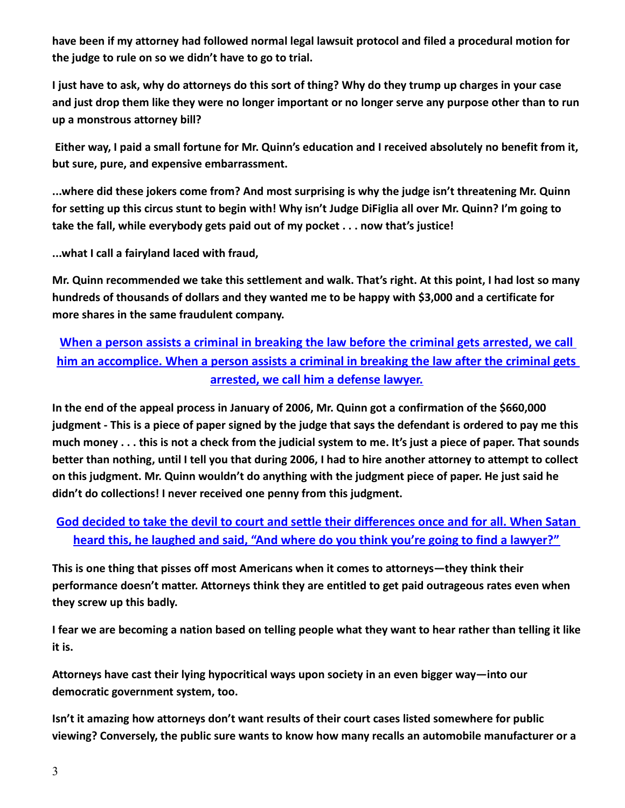**have been if my attorney had followed normal legal lawsuit protocol and filed a procedural motion for the judge to rule on so we didn't have to go to trial.**

**I just have to ask, why do attorneys do this sort of thing? Why do they trump up charges in your case and just drop them like they were no longer important or no longer serve any purpose other than to run up a monstrous attorney bill?**

**Either way, I paid a small fortune for Mr. Quinn's education and I received absolutely no benefit from it, but sure, pure, and expensive embarrassment.**

**...where did these jokers come from? And most surprising is why the judge isn't threatening Mr. Quinn for setting up this circus stunt to begin with! Why isn't Judge DiFiglia all over Mr. Quinn? I'm going to take the fall, while everybody gets paid out of my pocket . . . now that's justice!**

**...what I call a fairyland laced with fraud,**

**Mr. Quinn recommended we take this settlement and walk. That's right. At this point, I had lost so many hundreds of thousands of dollars and they wanted me to be happy with \$3,000 and a certificate for more shares in the same fraudulent company.**

**When a person assists a criminal in breaking the law before the criminal gets arrested, we call him an accomplice. When a person assists a criminal in breaking the law after the criminal gets arrested, we call him a defense lawyer.**

**In the end of the appeal process in January of 2006, Mr. Quinn got a confirmation of the \$660,000 judgment - This is a piece of paper signed by the judge that says the defendant is ordered to pay me this much money . . . this is not a check from the judicial system to me. It's just a piece of paper. That sounds better than nothing, until I tell you that during 2006, I had to hire another attorney to attempt to collect on this judgment. Mr. Quinn wouldn't do anything with the judgment piece of paper. He just said he didn't do collections! I never received one penny from this judgment.**

### **God decided to take the devil to court and settle their differences once and for all. When Satan heard this, he laughed and said, "And where do you think you're going to find a lawyer?"**

**This is one thing that pisses off most Americans when it comes to attorneys—they think their performance doesn't matter. Attorneys think they are entitled to get paid outrageous rates even when they screw up this badly.**

**I fear we are becoming a nation based on telling people what they want to hear rather than telling it like it is.**

**Attorneys have cast their lying hypocritical ways upon society in an even bigger way—into our democratic government system, too.**

**Isn't it amazing how attorneys don't want results of their court cases listed somewhere for public viewing? Conversely, the public sure wants to know how many recalls an automobile manufacturer or a**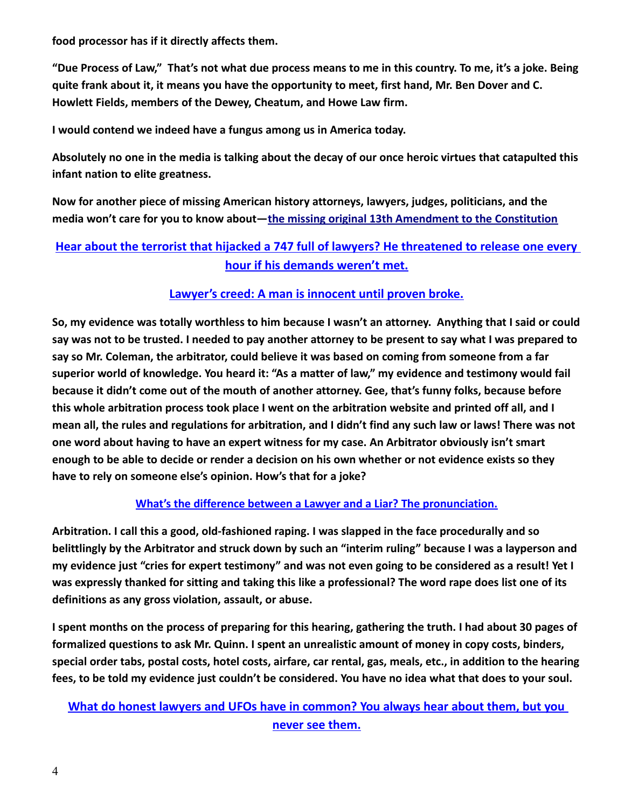**food processor has if it directly affects them.**

**"Due Process of Law," That's not what due process means to me in this country. To me, it's a joke. Being quite frank about it, it means you have the opportunity to meet, first hand, Mr. Ben Dover and C. Howlett Fields, members of the Dewey, Cheatum, and Howe Law firm.**

**I would contend we indeed have a fungus among us in America today.**

**Absolutely no one in the media is talking about the decay of our once heroic virtues that catapulted this infant nation to elite greatness.**

**Now for another piece of missing American history attorneys, lawyers, judges, politicians, and the media won't care for you to know about[—the missing original 13th Amendment to the Constitution](http://gloog.us/13thAmendment.html)**

## **Hear about the terrorist that hijacked a 747 full of lawyers? He threatened to release one every hour if his demands weren't met.**

#### **Lawyer's creed: A man is innocent until proven broke.**

**So, my evidence was totally worthless to him because I wasn't an attorney. Anything that I said or could say was not to be trusted. I needed to pay another attorney to be present to say what I was prepared to say so Mr. Coleman, the arbitrator, could believe it was based on coming from someone from a far superior world of knowledge. You heard it: "As a matter of law," my evidence and testimony would fail because it didn't come out of the mouth of another attorney. Gee, that's funny folks, because before this whole arbitration process took place I went on the arbitration website and printed off all, and I mean all, the rules and regulations for arbitration, and I didn't find any such law or laws! There was not one word about having to have an expert witness for my case. An Arbitrator obviously isn't smart enough to be able to decide or render a decision on his own whether or not evidence exists so they have to rely on someone else's opinion. How's that for a joke?**

#### **What's the difference between a Lawyer and a Liar? The pronunciation.**

**Arbitration. I call this a good, old-fashioned raping. I was slapped in the face procedurally and so belittlingly by the Arbitrator and struck down by such an "interim ruling" because I was a layperson and my evidence just "cries for expert testimony" and was not even going to be considered as a result! Yet I was expressly thanked for sitting and taking this like a professional? The word rape does list one of its definitions as any gross violation, assault, or abuse.**

**I spent months on the process of preparing for this hearing, gathering the truth. I had about 30 pages of formalized questions to ask Mr. Quinn. I spent an unrealistic amount of money in copy costs, binders, special order tabs, postal costs, hotel costs, airfare, car rental, gas, meals, etc., in addition to the hearing fees, to be told my evidence just couldn't be considered. You have no idea what that does to your soul.**

### **What do honest lawyers and UFOs have in common? You always hear about them, but you never see them.**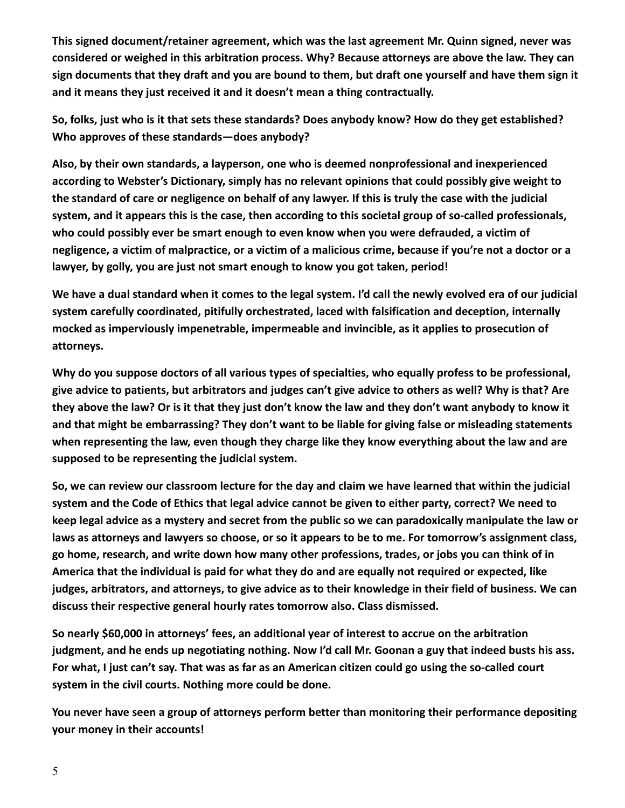**This signed document/retainer agreement, which was the last agreement Mr. Quinn signed, never was considered or weighed in this arbitration process. Why? Because attorneys are above the law. They can sign documents that they draft and you are bound to them, but draft one yourself and have them sign it and it means they just received it and it doesn't mean a thing contractually.**

**So, folks, just who is it that sets these standards? Does anybody know? How do they get established? Who approves of these standards—does anybody?**

**Also, by their own standards, a layperson, one who is deemed nonprofessional and inexperienced according to Webster's Dictionary, simply has no relevant opinions that could possibly give weight to the standard of care or negligence on behalf of any lawyer. If this is truly the case with the judicial system, and it appears this is the case, then according to this societal group of so-called professionals, who could possibly ever be smart enough to even know when you were defrauded, a victim of negligence, a victim of malpractice, or a victim of a malicious crime, because if you're not a doctor or a lawyer, by golly, you are just not smart enough to know you got taken, period!**

**We have a dual standard when it comes to the legal system. I'd call the newly evolved era of our judicial system carefully coordinated, pitifully orchestrated, laced with falsification and deception, internally mocked as imperviously impenetrable, impermeable and invincible, as it applies to prosecution of attorneys.**

**Why do you suppose doctors of all various types of specialties, who equally profess to be professional, give advice to patients, but arbitrators and judges can't give advice to others as well? Why is that? Are they above the law? Or is it that they just don't know the law and they don't want anybody to know it and that might be embarrassing? They don't want to be liable for giving false or misleading statements when representing the law, even though they charge like they know everything about the law and are supposed to be representing the judicial system.**

**So, we can review our classroom lecture for the day and claim we have learned that within the judicial system and the Code of Ethics that legal advice cannot be given to either party, correct? We need to keep legal advice as a mystery and secret from the public so we can paradoxically manipulate the law or laws as attorneys and lawyers so choose, or so it appears to be to me. For tomorrow's assignment class, go home, research, and write down how many other professions, trades, or jobs you can think of in America that the individual is paid for what they do and are equally not required or expected, like judges, arbitrators, and attorneys, to give advice as to their knowledge in their field of business. We can discuss their respective general hourly rates tomorrow also. Class dismissed.**

**So nearly \$60,000 in attorneys' fees, an additional year of interest to accrue on the arbitration judgment, and he ends up negotiating nothing. Now I'd call Mr. Goonan a guy that indeed busts his ass. For what, I just can't say. That was as far as an American citizen could go using the so-called court system in the civil courts. Nothing more could be done.**

**You never have seen a group of attorneys perform better than monitoring their performance depositing your money in their accounts!**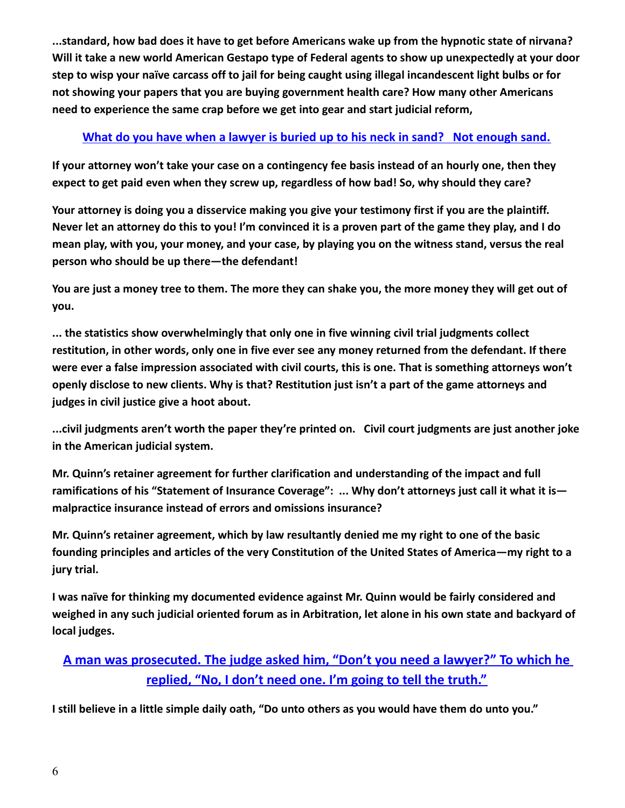**...standard, how bad does it have to get before Americans wake up from the hypnotic state of nirvana? Will it take a new world American Gestapo type of Federal agents to show up unexpectedly at your door step to wisp your naïve carcass off to jail for being caught using illegal incandescent light bulbs or for not showing your papers that you are buying government health care? How many other Americans need to experience the same crap before we get into gear and start judicial reform,**

#### **What do you have when a lawyer is buried up to his neck in sand? Not enough sand.**

**If your attorney won't take your case on a contingency fee basis instead of an hourly one, then they expect to get paid even when they screw up, regardless of how bad! So, why should they care?**

**Your attorney is doing you a disservice making you give your testimony first if you are the plaintiff. Never let an attorney do this to you! I'm convinced it is a proven part of the game they play, and I do mean play, with you, your money, and your case, by playing you on the witness stand, versus the real person who should be up there—the defendant!**

**You are just a money tree to them. The more they can shake you, the more money they will get out of you.**

**... the statistics show overwhelmingly that only one in five winning civil trial judgments collect restitution, in other words, only one in five ever see any money returned from the defendant. If there were ever a false impression associated with civil courts, this is one. That is something attorneys won't openly disclose to new clients. Why is that? Restitution just isn't a part of the game attorneys and judges in civil justice give a hoot about.**

**...civil judgments aren't worth the paper they're printed on. Civil court judgments are just another joke in the American judicial system.**

**Mr. Quinn's retainer agreement for further clarification and understanding of the impact and full ramifications of his "Statement of Insurance Coverage": ... Why don't attorneys just call it what it is malpractice insurance instead of errors and omissions insurance?**

**Mr. Quinn's retainer agreement, which by law resultantly denied me my right to one of the basic founding principles and articles of the very Constitution of the United States of America—my right to a jury trial.**

**I was naïve for thinking my documented evidence against Mr. Quinn would be fairly considered and weighed in any such judicial oriented forum as in Arbitration, let alone in his own state and backyard of local judges.**

# **A man was prosecuted. The judge asked him, "Don't you need a lawyer?" To which he replied, "No, I don't need one. I'm going to tell the truth."**

**I still believe in a little simple daily oath, "Do unto others as you would have them do unto you."**